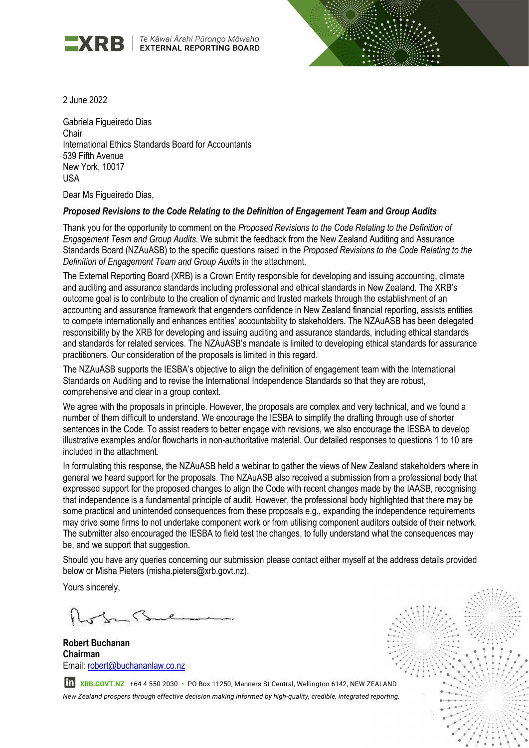

Te Kāwai Ārahi Pūrongo Mōwaho **EXTERNAL REPORTING BOARD** 



2 June 2022

Gabriela Figueiredo Dias Chair International Ethics Standards Board for Accountants 539 Fifth Avenue New York, 10017 USA

Dear Ms Figueiredo Dias,

## Proposed Revisions to the Code Relating to the Definition of Engagement Team and Group Audits

Thank you for the opportunity to comment on the Proposed Revisions to the Code Relating to the Definition of Engagement Team and Group Audits. We submit the feedback from the New Zealand Auditing and Assurance Standards Board (NZAuASB) to the specific questions raised in the Proposed Revisions to the Code Relating to the Definition of Engagement Team and Group Audits in the attachment.

The External Reporting Board (XRB) is a Crown Entity responsible for developing and issuing accounting, climate and auditing and assurance standards including professional and ethical standards in New Zealand. The XRB's outcome goal is to contribute to the creation of dynamic and trusted markets through the establishment of an accounting and assurance framework that engenders confidence in New Zealand financial reporting, assists entities to compete internationally and enhances entities' accountability to stakeholders. The NZAuASB has been delegated responsibility by the XRB for developing and issuing auditing and assurance standards, including ethical standards and standards for related services. The NZAuASB's mandate is limited to developing ethical standards for assurance practitioners. Our consideration of the proposals is limited in this regard.

The NZAuASB supports the IESBA's objective to align the definition of engagement team with the International Standards on Auditing and to revise the International Independence Standards so that they are robust, comprehensive and clear in a group context.

We agree with the proposals in principle. However, the proposals are complex and very technical, and we found a number of them difficult to understand. We encourage the IESBA to simplify the drafting through use of shorter sentences in the Code. To assist readers to better engage with revisions, we also encourage the IESBA to develop illustrative examples and/or flowcharts in non-authoritative material. Our detailed responses to questions 1 to 10 are included in the attachment.

In formulating this response, the NZAuASB held a webinar to gather the views of New Zealand stakeholders where in general we heard support for the proposals. The NZAuASB also received a submission from a professional body that expressed support for the proposed changes to align the Code with recent changes made by the IAASB, recognising that independence is a fundamental principle of audit. However, the professional body highlighted that there may be some practical and unintended consequences from these proposals e.g., expanding the independence requirements may drive some firms to not undertake component work or from utilising component auditors outside of their network. The submitter also encouraged the IESBA to field test the changes, to fully understand what the consequences may be, and we support that suggestion.

Should you have any queries concerning our submission please contact either myself at the address details provided below or Misha Pieters (misha.pieters@xrb.govt.nz).

Yours sincerely,

Robert Buchanan Chairman Email: robert@buchananlaw.co.nz



In XRB.GOVT.NZ +64 4 550 2030 · PO Box 11250, Manners St Central, Wellington 6142, NEW ZEALAND New Zealand prospers through effective decision making informed by high-quality, credible, integrated reporting.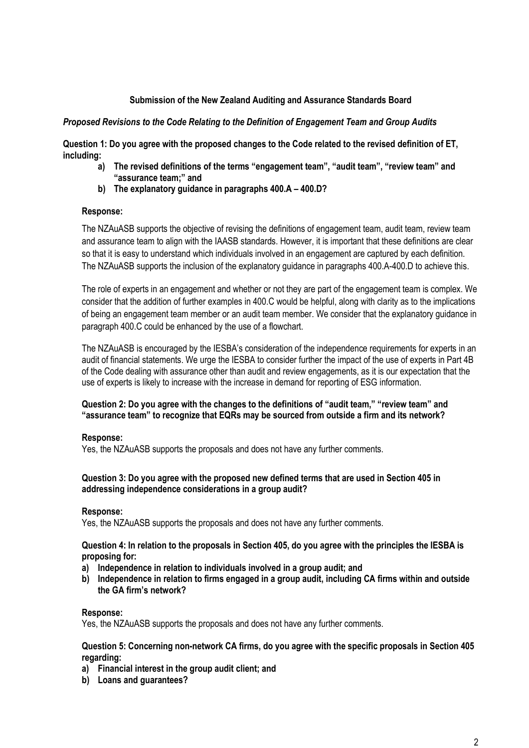# Submission of the New Zealand Auditing and Assurance Standards Board

### Proposed Revisions to the Code Relating to the Definition of Engagement Team and Group Audits

Question 1: Do you agree with the proposed changes to the Code related to the revised definition of ET, including:

- a) The revised definitions of the terms "engagement team", "audit team", "review team" and "assurance team;" and
- b) The explanatory guidance in paragraphs 400.A 400.D?

### Response:

The NZAuASB supports the objective of revising the definitions of engagement team, audit team, review team and assurance team to align with the IAASB standards. However, it is important that these definitions are clear so that it is easy to understand which individuals involved in an engagement are captured by each definition. The NZAuASB supports the inclusion of the explanatory guidance in paragraphs 400.A-400.D to achieve this.

The role of experts in an engagement and whether or not they are part of the engagement team is complex. We consider that the addition of further examples in 400.C would be helpful, along with clarity as to the implications of being an engagement team member or an audit team member. We consider that the explanatory guidance in paragraph 400.C could be enhanced by the use of a flowchart.

The NZAuASB is encouraged by the IESBA's consideration of the independence requirements for experts in an audit of financial statements. We urge the IESBA to consider further the impact of the use of experts in Part 4B of the Code dealing with assurance other than audit and review engagements, as it is our expectation that the use of experts is likely to increase with the increase in demand for reporting of ESG information.

## Question 2: Do you agree with the changes to the definitions of "audit team," "review team" and "assurance team" to recognize that EQRs may be sourced from outside a firm and its network?

### Response:

Yes, the NZAuASB supports the proposals and does not have any further comments.

# Question 3: Do you agree with the proposed new defined terms that are used in Section 405 in addressing independence considerations in a group audit?

### Response:

Yes, the NZAuASB supports the proposals and does not have any further comments.

Question 4: In relation to the proposals in Section 405, do you agree with the principles the IESBA is proposing for:

- a) Independence in relation to individuals involved in a group audit; and
- b) Independence in relation to firms engaged in a group audit, including CA firms within and outside the GA firm's network?

# Response:

Yes, the NZAuASB supports the proposals and does not have any further comments.

## Question 5: Concerning non-network CA firms, do you agree with the specific proposals in Section 405 regarding:

- a) Financial interest in the group audit client; and
- b) Loans and guarantees?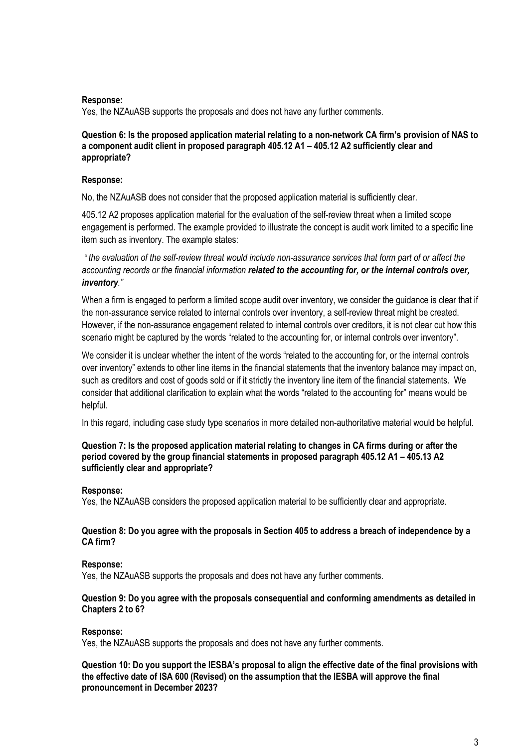### Response:

Yes, the NZAuASB supports the proposals and does not have any further comments.

### Question 6: Is the proposed application material relating to a non-network CA firm's provision of NAS to a component audit client in proposed paragraph 405.12 A1 – 405.12 A2 sufficiently clear and appropriate?

## Response:

No, the NZAuASB does not consider that the proposed application material is sufficiently clear.

405.12 A2 proposes application material for the evaluation of the self-review threat when a limited scope engagement is performed. The example provided to illustrate the concept is audit work limited to a specific line item such as inventory. The example states:

" the evaluation of the self-review threat would include non-assurance services that form part of or affect the accounting records or the financial information related to the accounting for, or the internal controls over, inventory."

When a firm is engaged to perform a limited scope audit over inventory, we consider the guidance is clear that if the non-assurance service related to internal controls over inventory, a self-review threat might be created. However, if the non-assurance engagement related to internal controls over creditors, it is not clear cut how this scenario might be captured by the words "related to the accounting for, or internal controls over inventory".

We consider it is unclear whether the intent of the words "related to the accounting for, or the internal controls over inventory" extends to other line items in the financial statements that the inventory balance may impact on, such as creditors and cost of goods sold or if it strictly the inventory line item of the financial statements. We consider that additional clarification to explain what the words "related to the accounting for" means would be helpful.

In this regard, including case study type scenarios in more detailed non-authoritative material would be helpful.

## Question 7: Is the proposed application material relating to changes in CA firms during or after the period covered by the group financial statements in proposed paragraph 405.12 A1 – 405.13 A2 sufficiently clear and appropriate?

# Response:

Yes, the NZAuASB considers the proposed application material to be sufficiently clear and appropriate.

# Question 8: Do you agree with the proposals in Section 405 to address a breach of independence by a CA firm?

# Response:

Yes, the NZAuASB supports the proposals and does not have any further comments.

# Question 9: Do you agree with the proposals consequential and conforming amendments as detailed in Chapters 2 to 6?

# Response:

Yes, the NZAuASB supports the proposals and does not have any further comments.

Question 10: Do you support the IESBA's proposal to align the effective date of the final provisions with the effective date of ISA 600 (Revised) on the assumption that the IESBA will approve the final pronouncement in December 2023?